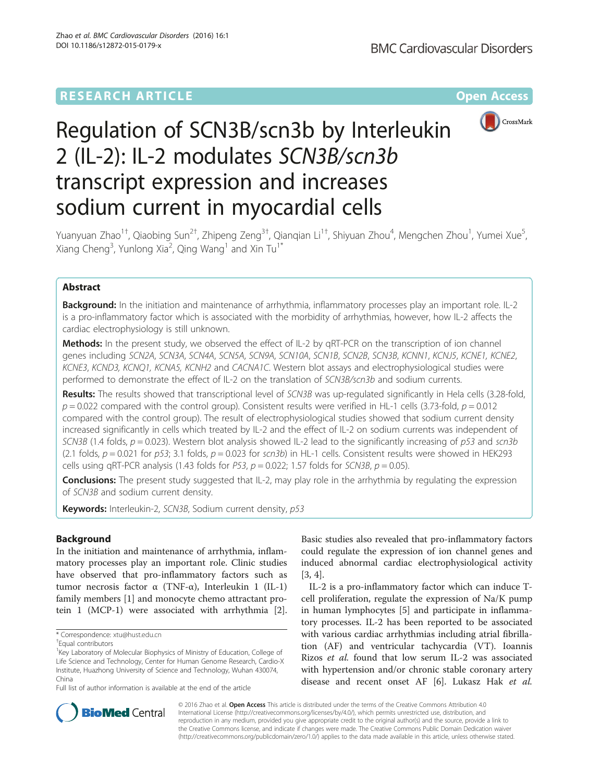# **RESEARCH ARTICLE External Structure Community Community Community Community Community Community Community Community**



# Regulation of SCN3B/scn3b by Interleukin 2 (IL-2): IL-2 modulates SCN3B/scn3b transcript expression and increases sodium current in myocardial cells

Yuanyuan Zhao<sup>1†</sup>, Qiaobing Sun<sup>2†</sup>, Zhipeng Zeng<sup>3†</sup>, Qianqian Li<sup>1†</sup>, Shiyuan Zhou<sup>4</sup>, Mengchen Zhou<sup>1</sup>, Yumei Xue<sup>5</sup> , Xiang Cheng<sup>3</sup>, Yunlong Xia<sup>2</sup>, Qing Wang<sup>1</sup> and Xin Tu<sup>1\*</sup>

# Abstract

Background: In the initiation and maintenance of arrhythmia, inflammatory processes play an important role. IL-2 is a pro-inflammatory factor which is associated with the morbidity of arrhythmias, however, how IL-2 affects the cardiac electrophysiology is still unknown.

Methods: In the present study, we observed the effect of IL-2 by qRT-PCR on the transcription of ion channel genes including SCN2A, SCN3A, SCN4A, SCN5A, SCN9A, SCN10A, SCN1B, SCN2B, SCN3B, KCNN1, KCNJ5, KCNE1, KCNE2, KCNE3, KCND3, KCNQ1, KCNA5, KCNH2 and CACNA1C. Western blot assays and electrophysiological studies were performed to demonstrate the effect of IL-2 on the translation of SCN3B/scn3b and sodium currents.

Results: The results showed that transcriptional level of SCN3B was up-regulated significantly in Hela cells (3.28-fold,  $p = 0.022$  compared with the control group). Consistent results were verified in HL-1 cells (3.73-fold,  $p = 0.012$ compared with the control group). The result of electrophysiological studies showed that sodium current density increased significantly in cells which treated by IL-2 and the effect of IL-2 on sodium currents was independent of SCN3B (1.4 folds,  $p = 0.023$ ). Western blot analysis showed IL-2 lead to the significantly increasing of  $p53$  and scn3b (2.1 folds,  $p = 0.021$  for p53; 3.1 folds,  $p = 0.023$  for scn3b) in HL-1 cells. Consistent results were showed in HEK293 cells using qRT-PCR analysis (1.43 folds for P53,  $p = 0.022$ ; 1.57 folds for SCN3B,  $p = 0.05$ ).

**Conclusions:** The present study suggested that IL-2, may play role in the arrhythmia by regulating the expression of SCN3B and sodium current density.

Keywords: Interleukin-2, SCN3B, Sodium current density, p53

# Background

In the initiation and maintenance of arrhythmia, inflammatory processes play an important role. Clinic studies have observed that pro-inflammatory factors such as tumor necrosis factor α (TNF-α), Interleukin 1 (IL-1) family members [\[1](#page-6-0)] and monocyte chemo attractant protein 1 (MCP-1) were associated with arrhythmia [\[2](#page-6-0)].

Full list of author information is available at the end of the article

Basic studies also revealed that pro-inflammatory factors could regulate the expression of ion channel genes and induced abnormal cardiac electrophysiological activity [[3, 4\]](#page-6-0).

IL-2 is a pro-inflammatory factor which can induce Tcell proliferation, regulate the expression of Na/K pump in human lymphocytes [[5\]](#page-6-0) and participate in inflammatory processes. IL-2 has been reported to be associated with various cardiac arrhythmias including atrial fibrillation (AF) and ventricular tachycardia (VT). Ioannis Rizos et al. found that low serum IL-2 was associated with hypertension and/or chronic stable coronary artery disease and recent onset AF [\[6](#page-6-0)]. Lukasz Hak et al.



© 2016 Zhao et al. **Open Access** This article is distributed under the terms of the Creative Commons Attribution 4.0 International License [\(http://creativecommons.org/licenses/by/4.0/](http://creativecommons.org/licenses/by/4.0/)), which permits unrestricted use, distribution, and reproduction in any medium, provided you give appropriate credit to the original author(s) and the source, provide a link to the Creative Commons license, and indicate if changes were made. The Creative Commons Public Domain Dedication waiver [\(http://creativecommons.org/publicdomain/zero/1.0/](http://creativecommons.org/publicdomain/zero/1.0/)) applies to the data made available in this article, unless otherwise stated.

<sup>\*</sup> Correspondence: [xtu@hust.edu.cn](mailto:xtu@hust.edu.cn) †

Equal contributors

<sup>&</sup>lt;sup>1</sup>Key Laboratory of Molecular Biophysics of Ministry of Education, College of Life Science and Technology, Center for Human Genome Research, Cardio-X Institute, Huazhong University of Science and Technology, Wuhan 430074, China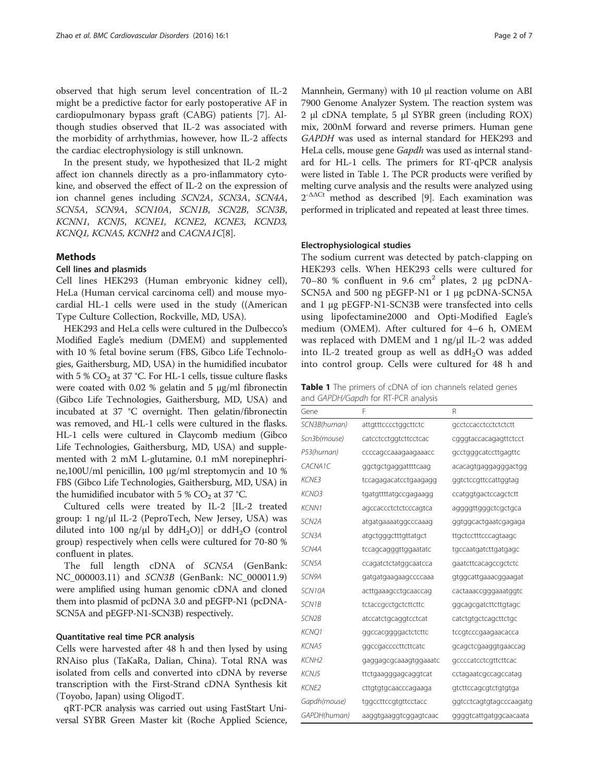observed that high serum level concentration of IL-2 might be a predictive factor for early postoperative AF in cardiopulmonary bypass graft (CABG) patients [[7\]](#page-6-0). Although studies observed that IL-2 was associated with the morbidity of arrhythmias, however, how IL-2 affects the cardiac electrophysiology is still unknown.

In the present study, we hypothesized that IL-2 might affect ion channels directly as a pro-inflammatory cytokine, and observed the effect of IL-2 on the expression of ion channel genes including SCN2A, SCN3A, SCN4A, SCN5A, SCN9A, SCN10A, SCN1B, SCN2B, SCN3B, KCNN1, KCNJ5, KCNE1, KCNE2, KCNE3, KCND3, KCNQ1, KCNA5, KCNH2 and CACNA1C[\[8\]](#page-6-0).

#### Methods

### Cell lines and plasmids

Cell lines HEK293 (Human embryonic kidney cell), HeLa (Human cervical carcinoma cell) and mouse myocardial HL-1 cells were used in the study ((American Type Culture Collection, Rockville, MD, USA).

HEK293 and HeLa cells were cultured in the Dulbecco's Modified Eagle's medium (DMEM) and supplemented with 10 % fetal bovine serum (FBS, Gibco Life Technologies, Gaithersburg, MD, USA) in the humidified incubator with 5 %  $CO<sub>2</sub>$  at 37 °C. For HL-1 cells, tissue culture flasks were coated with 0.02 % gelatin and 5 μg/ml fibronectin (Gibco Life Technologies, Gaithersburg, MD, USA) and incubated at 37 °C overnight. Then gelatin/fibronectin was removed, and HL-1 cells were cultured in the flasks. HL-1 cells were cultured in Claycomb medium (Gibco Life Technologies, Gaithersburg, MD, USA) and supplemented with 2 mM L-glutamine, 0.1 mM norepinephrine,100U/ml penicillin, 100 μg/ml streptomycin and 10 % FBS (Gibco Life Technologies, Gaithersburg, MD, USA) in the humidified incubator with 5 %  $CO<sub>2</sub>$  at 37 °C.

Cultured cells were treated by IL-2 [IL-2 treated group: 1 ng/μl IL-2 (PeproTech, New Jersey, USA) was diluted into 100 ng/ $\mu$ l by ddH<sub>2</sub>O)] or ddH<sub>2</sub>O (control group) respectively when cells were cultured for 70-80 % confluent in plates.

The full length cDNA of SCN5A (GenBank: NC\_000003.11) and SCN3B (GenBank: NC\_000011.9) were amplified using human genomic cDNA and cloned them into plasmid of pcDNA 3.0 and pEGFP-N1 (pcDNA-SCN5A and pEGFP-N1-SCN3B) respectively.

#### Quantitative real time PCR analysis

Cells were harvested after 48 h and then lysed by using RNAiso plus (TaKaRa, Dalian, China). Total RNA was isolated from cells and converted into cDNA by reverse transcription with the First-Strand cDNA Synthesis kit (Toyobo, Japan) using OligodT.

qRT-PCR analysis was carried out using FastStart Universal SYBR Green Master kit (Roche Applied Science,

Mannhein, Germany) with 10 μl reaction volume on ABI 7900 Genome Analyzer System. The reaction system was 2 μl cDNA template, 5 μl SYBR green (including ROX) mix, 200nM forward and reverse primers. Human gene GAPDH was used as internal standard for HEK293 and HeLa cells, mouse gene Gapdh was used as internal standard for HL-1 cells. The primers for RT-qPCR analysis were listed in Table 1. The PCR products were verified by melting curve analysis and the results were analyzed using 2-ΔΔCt method as described [\[9](#page-6-0)]. Each examination was performed in triplicated and repeated at least three times.

#### Electrophysiological studies

The sodium current was detected by patch-clapping on HEK293 cells. When HEK293 cells were cultured for 70–80 % confluent in 9.6  $\text{cm}^2$  plates, 2 μg pcDNA-SCN5A and 500 ng pEGFP-N1 or 1 μg pcDNA-SCN5A and 1 μg pEGFP-N1-SCN3B were transfected into cells using lipofectamine2000 and Opti-Modified Eagle's medium (OMEM). After cultured for 4–6 h, OMEM was replaced with DMEM and 1 ng/μl IL-2 was added into IL-2 treated group as well as  $ddH<sub>2</sub>O$  was added into control group. Cells were cultured for 48 h and

Table 1 The primers of cDNA of ion channels related genes and GAPDH/Gapdh for RT-PCR analysis

| Gene               | F                     | R                       |
|--------------------|-----------------------|-------------------------|
| SCN3B(human)       | attgtttcccctggcttctc  | gcctccacctcctctctctt    |
| Scn3b(mouse)       | catcctcctggtcttcctcac | cgggtaccacagagttctcct   |
| P53(human)         | ccccagccaaagaagaaacc  | gcctgggcatccttgagttc    |
| CACNA1C            | ggctgctgaggattttcaag  | acacagtgaggagggactgg    |
| KCNE3              | tccagagacatcctgaagagg | ggtctccgttccattggtag    |
| <b>KCND3</b>       | tgatgttttatgccgagaagg | ccatggtgactccagctctt    |
| <b>KCNN1</b>       | agccaccctctctcccagtca | aggggttgggctcgctgca     |
| SCN <sub>2</sub> A | atgatgaaaatggcccaaag  | ggtggcactgaatcgagaga    |
| SCN3A              | atgctgggctttgttatgct  | ttgctcctttcccagtaagc    |
| SCN4A              | tccagcagggttggaatatc  | tgccaatgatcttgatgagc    |
| SCN5A              | ccagatctctatggcaatcca | gaatcttcacagccgctctc    |
| SCN9A              | gatgatgaagaagccccaaa  | gtggcattgaaacggaagat    |
| SCN10A             | acttgaaagcctgcaaccag  | cactaaaccgggaaatggtc    |
| SCN1B              | tctaccgcctgctcttcttc  | ggcagcgatcttcttgtagc    |
| SCN2B              | atccatctgcaggtcctcat  | catctgtgctcagcttctgc    |
| <b>KCNQ1</b>       | ggccacggggactctcttc   | tccgtcccgaagaacacca     |
| <b>KCNA5</b>       | ggccgaccccttcttcatc   | gcagctcgaaggtgaaccag    |
| <b>KCNH2</b>       | gaggagcgcaaagtggaaatc | gccccatcctcgttcttcac    |
| KCNJ5              | ttctgaagggagcaggtcat  | cctagaatcgccagccatag    |
| <b>KCNE2</b>       | cttgtgtgcaacccagaaga  | gtcttccagcgtctgtgtga    |
| Gapdh(mouse)       | tggccttccgtgttcctacc  | ggtcctcagtgtagcccaagatg |
| GAPDH(human)       | aaggtgaaggtcggagtcaac | ggggtcattgatggcaacaata  |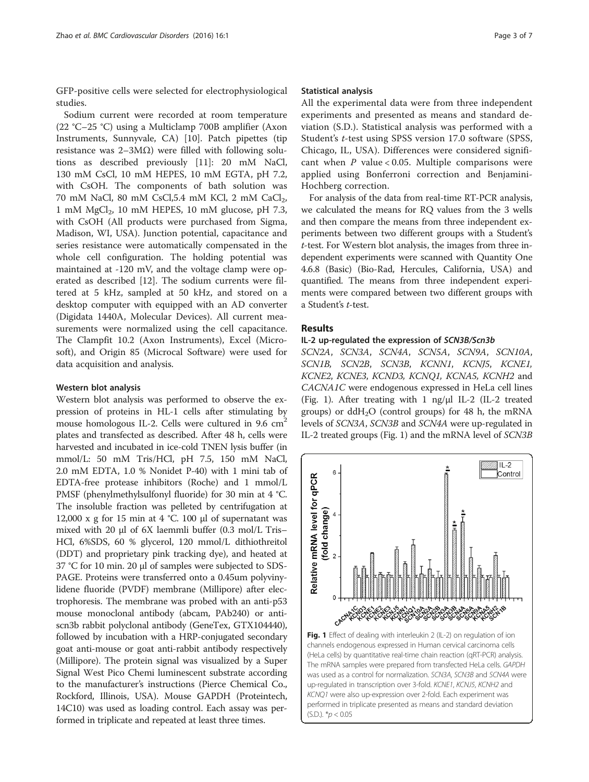GFP-positive cells were selected for electrophysiological studies.

Sodium current were recorded at room temperature (22 °C–25 °C) using a Multiclamp 700B amplifier (Axon Instruments, Sunnyvale, CA) [[10](#page-6-0)]. Patch pipettes (tip resistance was  $2-3MΩ$ ) were filled with following solutions as described previously [[11\]](#page-6-0): 20 mM NaCl, 130 mM CsCl, 10 mM HEPES, 10 mM EGTA, pH 7.2, with CsOH. The components of bath solution was 70 mM NaCl, 80 mM CsCl,5.4 mM KCl, 2 mM CaCl<sub>2</sub>, 1 mM  $MgCl<sub>2</sub>$ , 10 mM HEPES, 10 mM glucose, pH 7.3, with CsOH (All products were purchased from Sigma, Madison, WI, USA). Junction potential, capacitance and series resistance were automatically compensated in the whole cell configuration. The holding potential was maintained at -120 mV, and the voltage clamp were operated as described [\[12](#page-6-0)]. The sodium currents were filtered at 5 kHz, sampled at 50 kHz, and stored on a desktop computer with equipped with an AD converter (Digidata 1440A, Molecular Devices). All current measurements were normalized using the cell capacitance. The Clampfit 10.2 (Axon Instruments), Excel (Microsoft), and Origin 85 (Microcal Software) were used for data acquisition and analysis.

#### Western blot analysis

Western blot analysis was performed to observe the expression of proteins in HL-1 cells after stimulating by mouse homologous IL-2. Cells were cultured in  $9.6 \text{ cm}^2$ plates and transfected as described. After 48 h, cells were harvested and incubated in ice-cold TNEN lysis buffer (in mmol/L: 50 mM Tris/HCl, pH 7.5, 150 mM NaCl, 2.0 mM EDTA, 1.0 % Nonidet P-40) with 1 mini tab of EDTA-free protease inhibitors (Roche) and 1 mmol/L PMSF (phenylmethylsulfonyl fluoride) for 30 min at 4 °C. The insoluble fraction was pelleted by centrifugation at 12,000 x g for 15 min at 4 °C. 100 μl of supernatant was mixed with 20 μl of 6X laemmli buffer (0.3 mol/L Tris– HCl, 6%SDS, 60 % glycerol, 120 mmol/L dithiothreitol (DDT) and proprietary pink tracking dye), and heated at 37 °C for 10 min. 20 μl of samples were subjected to SDS-PAGE. Proteins were transferred onto a 0.45um polyvinylidene fluoride (PVDF) membrane (Millipore) after electrophoresis. The membrane was probed with an anti-p53 mouse monoclonal antibody (abcam, PAb240) or antiscn3b rabbit polyclonal antibody (GeneTex, GTX104440), followed by incubation with a HRP-conjugated secondary goat anti-mouse or goat anti-rabbit antibody respectively (Millipore). The protein signal was visualized by a Super Signal West Pico Chemi luminescent substrate according to the manufacturer's instructions (Pierce Chemical Co., Rockford, Illinois, USA). Mouse GAPDH (Proteintech, 14C10) was used as loading control. Each assay was performed in triplicate and repeated at least three times.

#### Statistical analysis

All the experimental data were from three independent experiments and presented as means and standard deviation (S.D.). Statistical analysis was performed with a Student's t-test using SPSS version 17.0 software (SPSS, Chicago, IL, USA). Differences were considered significant when  $P$  value < 0.05. Multiple comparisons were applied using Bonferroni correction and Benjamini-Hochberg correction.

For analysis of the data from real-time RT-PCR analysis, we calculated the means for RQ values from the 3 wells and then compare the means from three independent experiments between two different groups with a Student's t-test. For Western blot analysis, the images from three independent experiments were scanned with Quantity One 4.6.8 (Basic) (Bio-Rad, Hercules, California, USA) and quantified. The means from three independent experiments were compared between two different groups with a Student's t-test.

# Results

#### IL-2 up-regulated the expression of SCN3B/Scn3b

SCN2A, SCN3A, SCN4A, SCN5A, SCN9A, SCN10A, SCN1B, SCN2B, SCN3B, KCNN1, KCNJ5, KCNE1, KCNE2, KCNE3, KCND3, KCNQ1, KCNA5, KCNH2 and CACNA1C were endogenous expressed in HeLa cell lines (Fig. 1). After treating with 1 ng/μl IL-2 (IL-2 treated groups) or  $ddH<sub>2</sub>O$  (control groups) for 48 h, the mRNA levels of SCN3A, SCN3B and SCN4A were up-regulated in IL-2 treated groups (Fig. 1) and the mRNA level of SCN3B



channels endogenous expressed in Human cervical carcinoma cells (HeLa cells) by quantitative real-time chain reaction (qRT-PCR) analysis. The mRNA samples were prepared from transfected HeLa cells. GAPDH was used as a control for normalization. SCN3A, SCN3B and SCN4A were up-regulated in transcription over 3-fold. KCNE1, KCNJ5, KCNH2 and KCNQ1 were also up-expression over 2-fold. Each experiment was performed in triplicate presented as means and standard deviation  $(S.D.).$  \* $p < 0.05$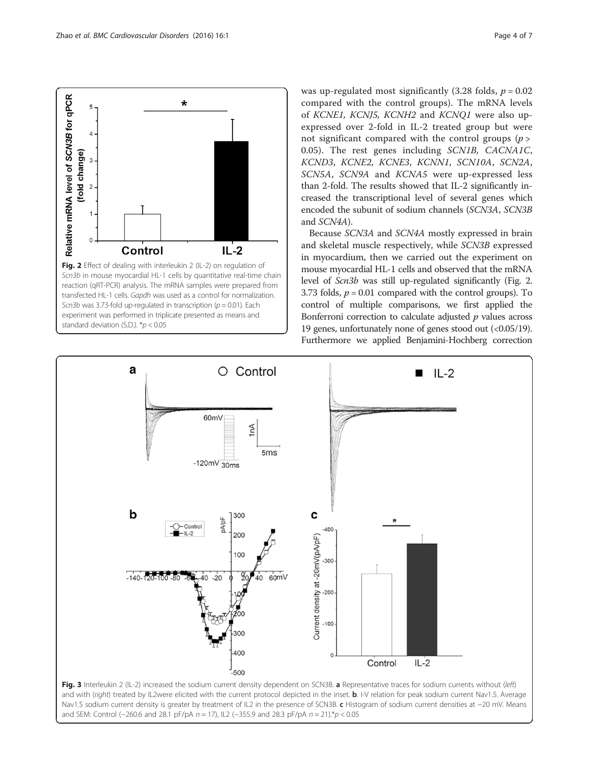<span id="page-3-0"></span>

was up-regulated most significantly (3.28 folds,  $p = 0.02$ ) compared with the control groups). The mRNA levels of KCNE1, KCNJ5, KCNH2 and KCNQ1 were also upexpressed over 2-fold in IL-2 treated group but were not significant compared with the control groups  $(p >$ 0.05). The rest genes including SCN1B, CACNA1C, KCND3, KCNE2, KCNE3, KCNN1, SCN10A, SCN2A, SCN5A, SCN9A and KCNA5 were up-expressed less than 2-fold. The results showed that IL-2 significantly increased the transcriptional level of several genes which encoded the subunit of sodium channels (SCN3A, SCN3B and SCN4A).

Because SCN3A and SCN4A mostly expressed in brain and skeletal muscle respectively, while SCN3B expressed in myocardium, then we carried out the experiment on mouse myocardial HL-1 cells and observed that the mRNA level of Scn3b was still up-regulated significantly (Fig. 2. 3.73 folds,  $p = 0.01$  compared with the control groups). To control of multiple comparisons, we first applied the Bonferroni correction to calculate adjusted  $p$  values across 19 genes, unfortunately none of genes stood out (<0.05/19). Furthermore we applied Benjamini-Hochberg correction



Fig. 3 Interleukin 2 (IL-2) increased the sodium current density dependent on SCN3B. a Representative traces for sodium currents without (left) and with (right) treated by IL2were elicited with the current protocol depicted in the inset. b. I-V relation for peak sodium current Nav1.5. Average Nav1.5 sodium current density is greater by treatment of IL2 in the presence of SCN3B. c Histogram of sodium current densities at −20 mV. Means and SEM: Control (−260.6 and 28.1 pF/pA n = 17), IL2 (−355.9 and 28.3 pF/pA n = 21).\*p < 0.05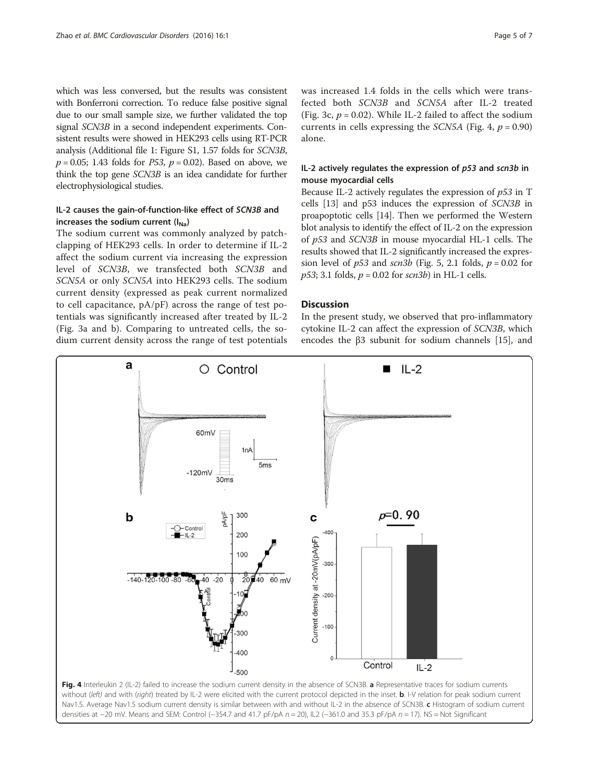which was less conversed, but the results was consistent with Bonferroni correction. To reduce false positive signal due to our small sample size, we further validated the top signal SCN3B in a second independent experiments. Consistent results were showed in HEK293 cells using RT-PCR analysis (Additional file [1:](#page-5-0) Figure S1, 1.57 folds for SCN3B,  $p = 0.05$ ; 1.43 folds for *P53*,  $p = 0.02$ ). Based on above, we think the top gene SCN3B is an idea candidate for further electrophysiological studies.

# IL-2 causes the gain-of-function-like effect of SCN3B and increases the sodium current  $(I_{Na})$

The sodium current was commonly analyzed by patchclapping of HEK293 cells. In order to determine if IL-2 affect the sodium current via increasing the expression level of SCN3B, we transfected both SCN3B and SCN5A or only SCN5A into HEK293 cells. The sodium current density (expressed as peak current normalized to cell capacitance,  $pA/pF$ ) across the range of test potentials was significantly increased after treated by IL-2 (Fig. [3a](#page-3-0) and [b\)](#page-3-0). Comparing to untreated cells, the sodium current density across the range of test potentials

was increased 1.4 folds in the cells which were transfected both SCN3B and SCN5A after IL-2 treated (Fig. [3c](#page-3-0),  $p = 0.02$ ). While IL-2 failed to affect the sodium currents in cells expressing the *SCN5A* (Fig. 4,  $p = 0.90$ ) alone.

# IL-2 actively regulates the expression of p53 and scn3b in mouse myocardial cells

Because IL-2 actively regulates the expression of  $p53$  in T cells [[13](#page-6-0)] and p53 induces the expression of SCN3B in proapoptotic cells [[14\]](#page-6-0). Then we performed the Western blot analysis to identify the effect of IL-2 on the expression of p53 and SCN3B in mouse myocardial HL-1 cells. The results showed that IL-2 significantly increased the expression level of  $p53$  and  $scn3b$  (Fig. [5](#page-5-0), 2.1 folds,  $p = 0.02$  for  $p53$ ; 3.1 folds,  $p = 0.02$  for scn3b) in HL-1 cells.

## **Discussion**

In the present study, we observed that pro-inflammatory cytokine IL-2 can affect the expression of SCN3B, which encodes the β3 subunit for sodium channels [[15\]](#page-6-0), and



Nav1.5. Average Nav1.5 sodium current density is similar between with and without IL-2 in the absence of SCN3B. c Histogram of sodium current densities at −20 mV. Means and SEM: Control (−354.7 and 41.7 pF/pA n = 20), IL2 (−361.0 and 35.3 pF/pA n = 17). NS = Not Significant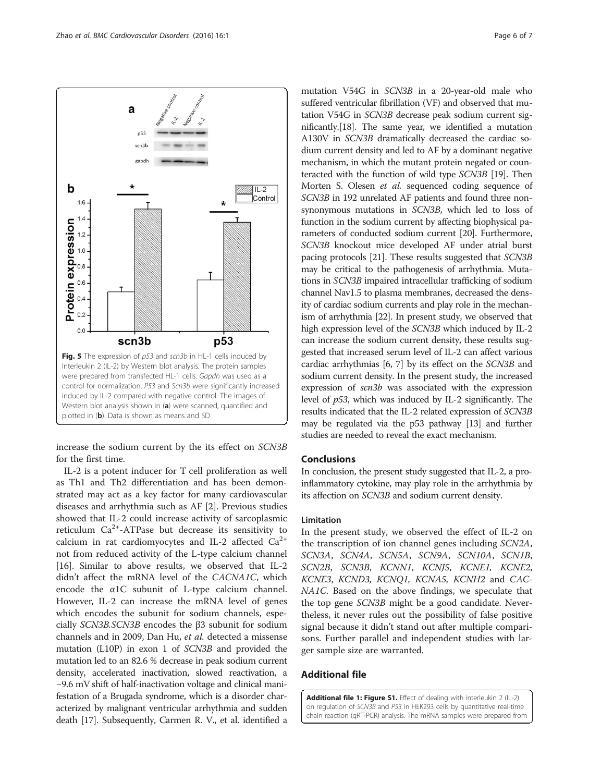<span id="page-5-0"></span>

increase the sodium current by the its effect on SCN3B for the first time.

IL-2 is a potent inducer for T cell proliferation as well as Th1 and Th2 differentiation and has been demonstrated may act as a key factor for many cardiovascular diseases and arrhythmia such as AF [[2\]](#page-6-0). Previous studies showed that IL-2 could increase activity of sarcoplasmic reticulum  $Ca^{2+}$ -ATPase but decrease its sensitivity to calcium in rat cardiomyocytes and IL-2 affected  $Ca^{2+}$ not from reduced activity of the L-type calcium channel [[16\]](#page-6-0). Similar to above results, we observed that IL-2 didn't affect the mRNA level of the CACNA1C, which encode the α1C subunit of L-type calcium channel. However, IL-2 can increase the mRNA level of genes which encodes the subunit for sodium channels, especially SCN3B.SCN3B encodes the β3 subunit for sodium channels and in 2009, Dan Hu, et al. detected a missense mutation (L10P) in exon 1 of SCN3B and provided the mutation led to an 82.6 % decrease in peak sodium current density, accelerated inactivation, slowed reactivation, a −9.6 mV shift of half-inactivation voltage and clinical manifestation of a Brugada syndrome, which is a disorder characterized by malignant ventricular arrhythmia and sudden death [\[17\]](#page-6-0). Subsequently, Carmen R. V., et al. identified a

mutation V54G in SCN3B in a 20-year-old male who suffered ventricular fibrillation (VF) and observed that mutation V54G in SCN3B decrease peak sodium current significantly.[\[18\]](#page-6-0). The same year, we identified a mutation A130V in SCN3B dramatically decreased the cardiac sodium current density and led to AF by a dominant negative mechanism, in which the mutant protein negated or counteracted with the function of wild type SCN3B [\[19\]](#page-6-0). Then Morten S. Olesen et al. sequenced coding sequence of SCN3B in 192 unrelated AF patients and found three nonsynonymous mutations in SCN3B, which led to loss of function in the sodium current by affecting biophysical parameters of conducted sodium current [[20](#page-6-0)]. Furthermore, SCN3B knockout mice developed AF under atrial burst pacing protocols [[21](#page-6-0)]. These results suggested that SCN3B may be critical to the pathogenesis of arrhythmia. Mutations in SCN3B impaired intracellular trafficking of sodium channel Nav1.5 to plasma membranes, decreased the density of cardiac sodium currents and play role in the mechanism of arrhythmia [[22](#page-6-0)]. In present study, we observed that high expression level of the SCN3B which induced by IL-2 can increase the sodium current density, these results suggested that increased serum level of IL-2 can affect various cardiac arrhythmias [\[6, 7](#page-6-0)] by its effect on the SCN3B and sodium current density. In the present study, the increased expression of scn3b was associated with the expression level of p53, which was induced by IL-2 significantly. The results indicated that the IL-2 related expression of SCN3B may be regulated via the p53 pathway [\[13\]](#page-6-0) and further studies are needed to reveal the exact mechanism.

# Conclusions

In conclusion, the present study suggested that IL-2, a proinflammatory cytokine, may play role in the arrhythmia by its affection on SCN3B and sodium current density.

#### Limitation

In the present study, we observed the effect of IL-2 on the transcription of ion channel genes including SCN2A, SCN3A, SCN4A, SCN5A, SCN9A, SCN10A, SCN1B, SCN2B, SCN3B, KCNN1, KCNJ5, KCNE1, KCNE2, KCNE3, KCND3, KCNQ1, KCNA5, KCNH2 and CAC-NA1C. Based on the above findings, we speculate that the top gene SCN3B might be a good candidate. Nevertheless, it never rules out the possibility of false positive signal because it didn't stand out after multiple comparisons. Further parallel and independent studies with larger sample size are warranted.

# Additional file

[Additional file 1: Figure S1.](dx.doi.org/10.1186/s12872-015-0179-x) Effect of dealing with interleukin 2 (IL-2) on regulation of SCN3B and P53 in HEK293 cells by quantitative real-time chain reaction (qRT-PCR) analysis. The mRNA samples were prepared from